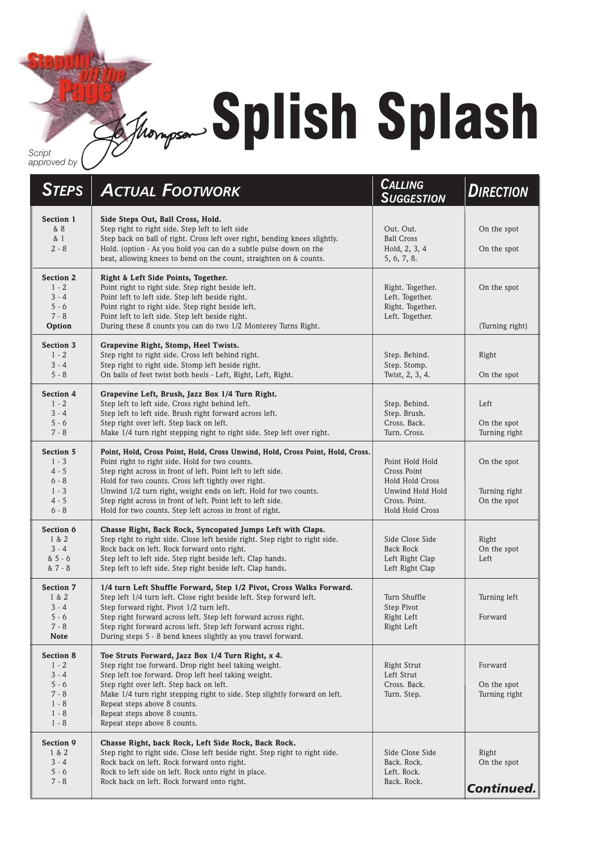## **Splish Splash**

*Script approved by*

| <b>STEPS</b>                                                                                  | <b>ACTUAL FOOTWORK</b>                                                                                                                                                                                                                                                                                                                                                                                                                                  | <b>CALLING</b><br><b>SUGGESTION</b>                                                                              | <b>DIRECTION</b>                            |
|-----------------------------------------------------------------------------------------------|---------------------------------------------------------------------------------------------------------------------------------------------------------------------------------------------------------------------------------------------------------------------------------------------------------------------------------------------------------------------------------------------------------------------------------------------------------|------------------------------------------------------------------------------------------------------------------|---------------------------------------------|
| Section 1<br>& 8<br>& 1<br>$2 - 8$                                                            | Side Steps Out, Ball Cross, Hold.<br>Step right to right side. Step left to left side<br>Step back on ball of right. Cross left over right, bending knees slightly.<br>Hold. (option - As you hold you can do a subtle pulse down on the<br>beat, allowing knees to bend on the count, straighten on & counts.                                                                                                                                          | Out. Out.<br><b>Ball Cross</b><br>Hold, 2, 3, 4<br>5, 6, 7, 8.                                                   | On the spot<br>On the spot                  |
| <b>Section 2</b><br>$1 - 2$<br>$3 - 4$<br>$5 - 6$<br>$7 - 8$<br>Option                        | Right & Left Side Points, Together.<br>Point right to right side. Step right beside left.<br>Point left to left side. Step left beside right.<br>Point right to right side. Step right beside left.<br>Point left to left side. Step left beside right.<br>During these 8 counts you can do two 1/2 Monterey Turns Right.                                                                                                                               | Right. Together.<br>Left. Together.<br>Right. Together.<br>Left. Together.                                       | On the spot<br>(Turning right)              |
| <b>Section 3</b><br>$1 - 2$<br>$3 - 4$<br>$5 - 8$                                             | Grapevine Right, Stomp, Heel Twists.<br>Step right to right side. Cross left behind right.<br>Step right to right side. Stomp left beside right.<br>On balls of feet twist both heels - Left, Right, Left, Right.                                                                                                                                                                                                                                       | Step. Behind.<br>Step. Stomp.<br>Twist, 2, 3, 4.                                                                 | Right<br>On the spot                        |
| <b>Section 4</b><br>$1 - 2$<br>$3 - 4$<br>$5 - 6$<br>$7 - 8$                                  | Grapevine Left, Brush, Jazz Box 1/4 Turn Right.<br>Step left to left side. Cross right behind left.<br>Step left to left side. Brush right forward across left.<br>Step right over left. Step back on left.<br>Make 1/4 turn right stepping right to right side. Step left over right.                                                                                                                                                                  | Step. Behind.<br>Step. Brush.<br>Cross, Back.<br>Turn. Cross.                                                    | Left<br>On the spot<br>Turning right        |
| <b>Section 5</b><br>$1 - 3$<br>$4 - 5$<br>$6 - 8$<br>$1 - 3$<br>$4 - 5$<br>$6 - 8$            | Point, Hold, Cross Point, Hold, Cross Unwind, Hold, Cross Point, Hold, Cross.<br>Point right to right side. Hold for two counts.<br>Step right across in front of left. Point left to left side.<br>Hold for two counts. Cross left tightly over right.<br>Unwind 1/2 turn right, weight ends on left. Hold for two counts.<br>Step right across in front of left. Point left to left side.<br>Hold for two counts. Step left across in front of right. | Point Hold Hold<br>Cross Point<br><b>Hold Hold Cross</b><br>Unwind Hold Hold<br>Cross. Point.<br>Hold Hold Cross | On the spot<br>Turning right<br>On the spot |
| Section 6<br>1 & 2<br>$3 - 4$<br>$& 5 - 6$<br>& 7 - 8                                         | Chasse Right, Back Rock, Syncopated Jumps Left with Claps.<br>Step right to right side. Close left beside right. Step right to right side.<br>Rock back on left. Rock forward onto right.<br>Step left to left side. Step right beside left. Clap hands.<br>Step left to left side. Step right beside left. Clap hands.                                                                                                                                 | Side Close Side<br>Back Rock<br>Left Right Clap<br>Left Right Clap                                               | Right<br>On the spot<br>Left                |
| <b>Section 7</b><br>1 & 2<br>$3 - 4$<br>$5 - 6$<br>$7 - 8$<br><b>Note</b>                     | 1/4 turn Left Shuffle Forward, Step 1/2 Pivot, Cross Walks Forward.<br>Step left 1/4 turn left. Close right beside left. Step forward left.<br>Step forward right. Pivot 1/2 turn left.<br>Step right forward across left. Step left forward across right.<br>Step right forward across left. Step left forward across right.<br>During steps 5 - 8 bend knees slightly as you travel forward.                                                          | Turn Shuffle<br>Step Pivot<br>Right Left<br>Right Left                                                           | Turning left<br>Forward                     |
| <b>Section 8</b><br>$1 - 2$<br>$3 - 4$<br>$5 - 6$<br>$7 - 8$<br>$1 - 8$<br>$1 - 8$<br>$1 - 8$ | Toe Struts Forward, Jazz Box 1/4 Turn Right, x 4.<br>Step right toe forward. Drop right heel taking weight.<br>Step left toe forward. Drop left heel taking weight.<br>Step right over left. Step back on left.<br>Make 1/4 turn right stepping right to side. Step slightly forward on left.<br>Repeat steps above 8 counts.<br>Repeat steps above 8 counts.<br>Repeat steps above 8 counts.                                                           | Right Strut<br>Left Strut<br>Cross, Back.<br>Turn. Step.                                                         | Forward<br>On the spot<br>Turning right     |
| Section 9<br>1 & 2<br>$3 - 4$<br>$5 - 6$<br>$7 - 8$                                           | Chasse Right, back Rock, Left Side Rock, Back Rock.<br>Step right to right side. Close left beside right. Step right to right side.<br>Rock back on left. Rock forward onto right.<br>Rock to left side on left. Rock onto right in place.<br>Rock back on left. Rock forward onto right.                                                                                                                                                               | Side Close Side<br>Back. Rock.<br>Left. Rock.<br>Back. Rock.                                                     | Right<br>On the spot<br>Continued.          |